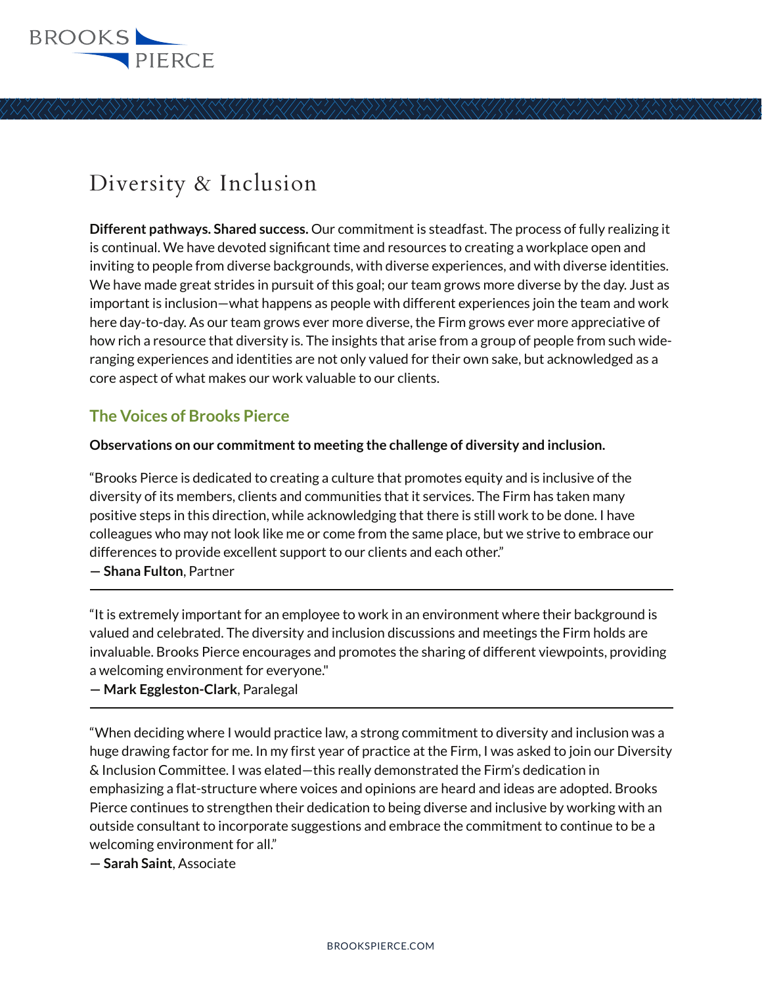

# Diversity & Inclusion

**Different pathways. Shared success.** Our commitment is steadfast. The process of fully realizing it is continual. We have devoted significant time and resources to creating a workplace open and inviting to people from diverse backgrounds, with diverse experiences, and with diverse identities. We have made great strides in pursuit of this goal; our team grows more diverse by the day. Just as important is inclusion—what happens as people with different experiences join the team and work here day-to-day. As our team grows ever more diverse, the Firm grows ever more appreciative of how rich a resource that diversity is. The insights that arise from a group of people from such wideranging experiences and identities are not only valued for their own sake, but acknowledged as a core aspect of what makes our work valuable to our clients.

# **The Voices of Brooks Pierce**

#### **Observations on our commitment to meeting the challenge of diversity and inclusion.**

"Brooks Pierce is dedicated to creating a culture that promotes equity and is inclusive of the diversity of its members, clients and communities that it services. The Firm has taken many positive steps in this direction, while acknowledging that there is still work to be done. I have colleagues who may not look like me or come from the same place, but we strive to embrace our differences to provide excellent support to our clients and each other."

**— Shana Fulton**, Partner l

"It is extremely important for an employee to work in an environment where their background is valued and celebrated. The diversity and inclusion discussions and meetings the Firm holds are invaluable. Brooks Pierce encourages and promotes the sharing of different viewpoints, providing a welcoming environment for everyone."

**— Mark Eggleston-Clark**, Paralegal  $\overline{a}$ 

"When deciding where I would practice law, a strong commitment to diversity and inclusion was a huge drawing factor for me. In my first year of practice at the Firm, I was asked to join our Diversity & Inclusion Committee. I was elated—this really demonstrated the Firm's dedication in emphasizing a flat-structure where voices and opinions are heard and ideas are adopted. Brooks Pierce continues to strengthen their dedication to being diverse and inclusive by working with an outside consultant to incorporate suggestions and embrace the commitment to continue to be a welcoming environment for all."

**— Sarah Saint**, Associate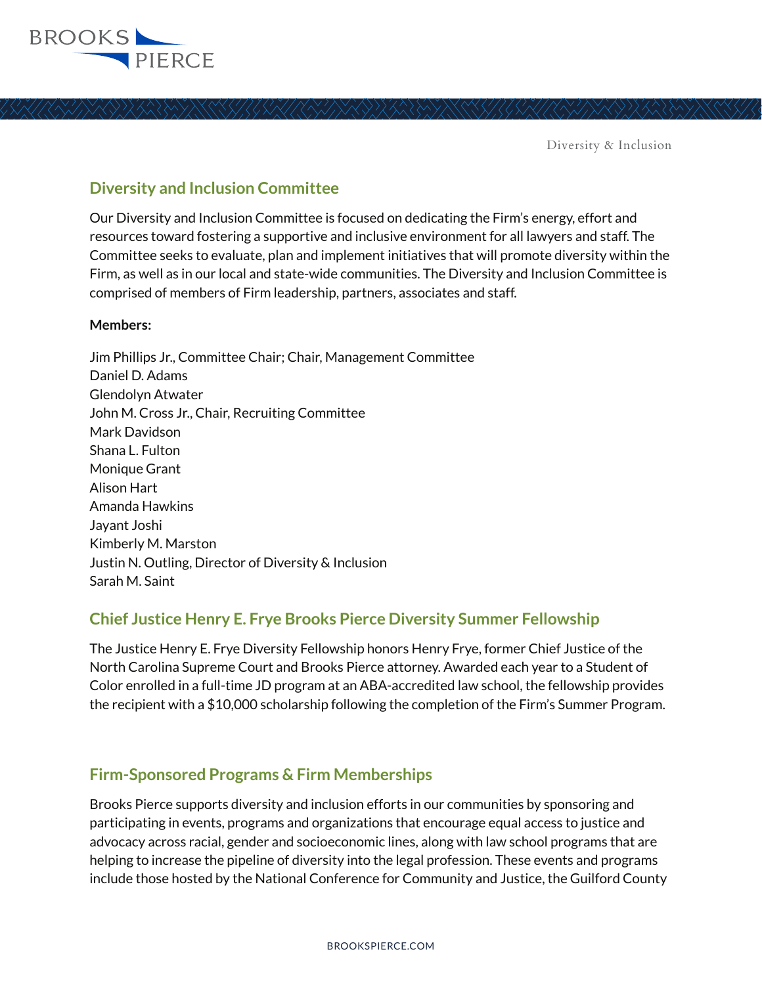

Diversity & Inclusion

## **Diversity and Inclusion Committee**

Our Diversity and Inclusion Committee is focused on dedicating the Firm's energy, effort and resources toward fostering a supportive and inclusive environment for all lawyers and staff. The Committee seeks to evaluate, plan and implement initiatives that will promote diversity within the Firm, as well as in our local and state-wide communities. The Diversity and Inclusion Committee is comprised of members of Firm leadership, partners, associates and staff.

#### **Members:**

Jim Phillips Jr., Committee Chair; Chair, Management Committee Daniel D. Adams Glendolyn Atwater John M. Cross Jr., Chair, Recruiting Committee Mark Davidson Shana L. Fulton Monique Grant Alison Hart Amanda Hawkins Jayant Joshi Kimberly M. Marston Justin N. Outling, Director of Diversity & Inclusion Sarah M. Saint

## **Chief Justice Henry E. Frye Brooks Pierce Diversity Summer Fellowship**

The Justice Henry E. Frye Diversity Fellowship honors Henry Frye, former Chief Justice of the North Carolina Supreme Court and Brooks Pierce attorney. Awarded each year to a Student of Color enrolled in a full-time JD program at an ABA-accredited law school, the fellowship provides the recipient with a \$10,000 scholarship following the completion of the Firm's Summer Program.

## **Firm-Sponsored Programs & Firm Memberships**

Brooks Pierce supports diversity and inclusion efforts in our communities by sponsoring and participating in events, programs and organizations that encourage equal access to justice and advocacy across racial, gender and socioeconomic lines, along with law school programs that are helping to increase the pipeline of diversity into the legal profession. These events and programs include those hosted by the National Conference for Community and Justice, the Guilford County